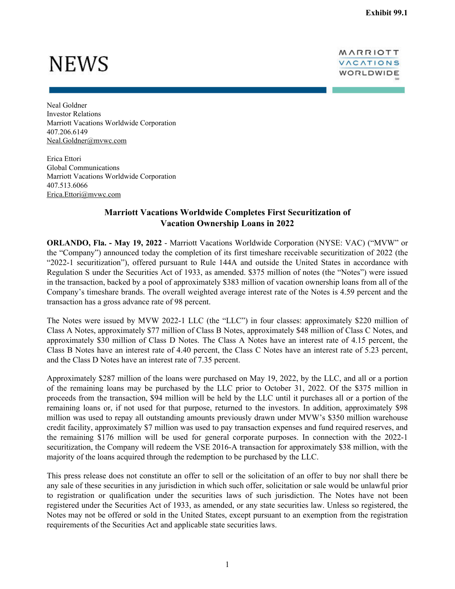## **NEWS**

MARRIOTT VACATIONS WORLDWIDE

Neal Goldner Investor Relations Marriott Vacations Worldwide Corporation 407.206.6149 Neal.Goldner@mvwc.com

Erica Ettori Global Communications Marriott Vacations Worldwide Corporation 407.513.6066 Erica.Ettori@mvwc.com

## **Marriott Vacations Worldwide Completes First Securitization of Vacation Ownership Loans in 2022**

**ORLANDO, Fla. - May 19, 2022** - Marriott Vacations Worldwide Corporation (NYSE: VAC) ("MVW" or the "Company") announced today the completion of its first timeshare receivable securitization of 2022 (the "2022-1 securitization"), offered pursuant to Rule 144A and outside the United States in accordance with Regulation S under the Securities Act of 1933, as amended. \$375 million of notes (the "Notes") were issued in the transaction, backed by a pool of approximately \$383 million of vacation ownership loans from all of the Company's timeshare brands. The overall weighted average interest rate of the Notes is 4.59 percent and the transaction has a gross advance rate of 98 percent.

The Notes were issued by MVW 2022-1 LLC (the "LLC") in four classes: approximately \$220 million of Class A Notes, approximately \$77 million of Class B Notes, approximately \$48 million of Class C Notes, and approximately \$30 million of Class D Notes. The Class A Notes have an interest rate of 4.15 percent, the Class B Notes have an interest rate of 4.40 percent, the Class C Notes have an interest rate of 5.23 percent, and the Class D Notes have an interest rate of 7.35 percent.

Approximately \$287 million of the loans were purchased on May 19, 2022, by the LLC, and all or a portion of the remaining loans may be purchased by the LLC prior to October 31, 2022. Of the \$375 million in proceeds from the transaction, \$94 million will be held by the LLC until it purchases all or a portion of the remaining loans or, if not used for that purpose, returned to the investors. In addition, approximately \$98 million was used to repay all outstanding amounts previously drawn under MVW's \$350 million warehouse credit facility, approximately \$7 million was used to pay transaction expenses and fund required reserves, and the remaining \$176 million will be used for general corporate purposes. In connection with the 2022-1 securitization, the Company will redeem the VSE 2016-A transaction for approximately \$38 million, with the majority of the loans acquired through the redemption to be purchased by the LLC.

This press release does not constitute an offer to sell or the solicitation of an offer to buy nor shall there be any sale of these securities in any jurisdiction in which such offer, solicitation or sale would be unlawful prior to registration or qualification under the securities laws of such jurisdiction. The Notes have not been registered under the Securities Act of 1933, as amended, or any state securities law. Unless so registered, the Notes may not be offered or sold in the United States, except pursuant to an exemption from the registration requirements of the Securities Act and applicable state securities laws.